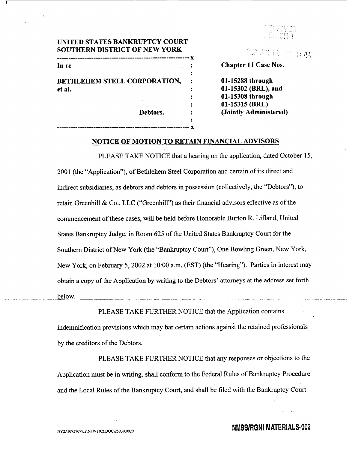

# **UNITED STATES** BANKRUPTCY **COURT SOUTHERN** DISTRICT OF **NEW** YORK **---------------" --------------- X 'X**  In re **11 Case Nos. 12 Chapter 11 Case Nos.**

**---------------------------------------------------------- x** 

BETHLEHEM **STEEL** CORPORATION, **01-15288** through et al. : **01-15302** (BRL), and

: **01-15308** through : **01-15315** (BRL) Debtors. : (Jointly Administered)

# **NOTICE** OF **MOTION** TO RETAIN **FINANCIAL** ADVISORS

PLEASE TAKE NOTICE that a hearing on the application, dated October 15, 2001 (the "Application"), of Bethlehem Steel Corporation and certain of its direct and indirect subsidiaries, as debtors and debtors in possession (collectively, the "Debtors"), to retain Greenhill & Co., LLC ("Greenhill") as their financial advisors effective as of the commencement of these cases, will be held before Honorable Burton R. Lifland, United States Bankruptcy Judge, in Room 625 of the United States Bankruptcy Court for the Southern District of New York (the "Bankruptcy Court"), One Bowling Green, New York, New York, on February 5, 2002 at 10:00 a.m. (EST) (the "Hearing"). Parties in interest may obtain a copy of the Application by writing to the Debtors' attorneys at the address set forth below.

indemnification provisions which may bar certain actions against the retained professionals by the creditors of the Debtors.

PLEASE TAKE FURTHER NOTICE that the Application contains

PLEASE TAKE FURTHER NOTICE that any responses or objections to the Application must be in writing, shall conform to the Federal Rules of Bankruptcy Procedure and the Local Rules of the Bankruptcy Court, and shall be filed with the Bankruptcy Court

# **NY2:\1093709\02\NFWT02! DOC\25930.0029 20 NMSS/RGNI MATERIALS-002**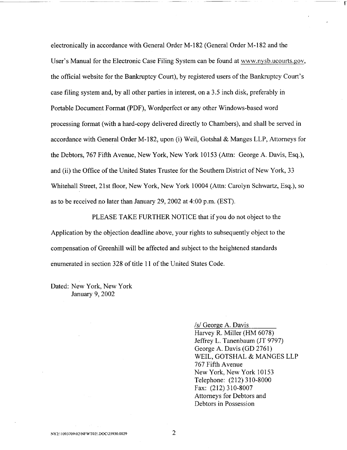electronically in accordance with General Order M- 182 (General Order M- 182 and the User's Manual for the Electronic Case Filing System can be found at www.nysb.ucourts.gov, the official website for the Bankruptcy Court), by registered users of the Bankruptcy Court's case filing system and, by all other parties in interest, on a 3.5 inch disk, preferably in Portable Document Format (PDF), Wordperfect or any other Windows-based word processing format (with a hard-copy delivered directly to Chambers), and shall be served in accordance with General Order M-182, upon (i) Weil, Gotshal & Manges LLP, Attorneys for the Debtors, 767 Fifth Avenue, New York, New York 10153 (Attn: George A. Davis, Esq.), and (ii) the Office of the United States Trustee for the Southern District of New York, 33 Whitehall Street, 21st floor, New York, New York 10004 (Attn: Carolyn Schwartz, Esq.), so as to be received no later than January 29, 2002 at 4:00 p.m. (EST).

PLEASE TAKE FURTHER NOTICE that if you do not object to the Application by the objection deadline above, your rights to subsequently object to the compensation of Greenhill will be affected and subject to the heightened standards enumerated in section 328 of title 11 of the United States Code.

Dated: New York, New York January 9, 2002

/s/ George A. Davis

Harvey R. Miller (HM 6078) Jeffrey L. Tanenbaum (JT 9797) George A. Davis (GD 2761) WEIL, GOTSHAL & MANGES LLP 767 Fifth Avenue New York, New York 10153 Telephone: (212) 310-8000 Fax: (212) 310-8007 Attorneys for Debtors and Debtors in Possession

**F**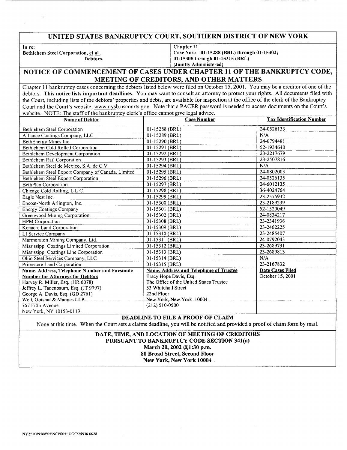# **UNITED STATES** BANKRUPTCY **COURT, SOUTHERN** DISTRICT OF **NEW** YORK

In re:

Bethlehem Steel Corporation, et al. Debtors. Chapter **11** 

Case Nos.: 01-15288 (BRL) through **01-15302; 01-15308** through **01-15315** (BRL) (Jointly Administered)

## **NOTICE** OF **COMMENCEMENT** OF **CASES UNDER** CHAPTER **11** OF THE BANKRUPTCY **CODE, MEETING** OF CREDITORS, **AND** OTHER MATTERS

Chapter 11 bankruptcy cases concerning the debtors listed below were filed on October 15, 2001. You may be a creditor of one of the debtors. This notice lists important deadlines. You may want to consult an attorney to protect your rights. All documents filed with the Court, including lists of the debtors' properties and debts, are available for inspection at the office of the clerk of the Bankruptcy Court and the Court's website, www.nysb.uscourts.gov. Note that a PACER password is needed to access documents on the Court's website. NOTE: The staff of the bankruptcy clerk's office cannot give legal advice.

| <b>Name of Debtor</b>                             | <b>Case Number</b>                      | <b>Tax Identification Number</b> |
|---------------------------------------------------|-----------------------------------------|----------------------------------|
| Bethlehem Steel Corporation                       | 01-15288 (BRL)                          | 24-0526133                       |
| Alliance Coatings Company, LLC                    | 01-15289 (BRL)                          | N/A                              |
| BethEnergy Mines Inc.                             | 01-15290 (BRL)                          | 24-0794481                       |
| Bethlehem Cold Rolled Corporation                 | 01-15291 (BRL)                          | 52-1934640                       |
| Bethlehem Development Corporation                 | 01-15292 (BRL)                          | 23-2217679                       |
| Bethlehem Rail Corporation                        | $01-15293$ (BRL)                        | 23-2507816                       |
| Bethlehem Steel de Mexico, S.A. de C.V.           | 01-15294 (BRL)                          | N/A                              |
| Bethlehem Steel Export Company of Canada, Limited | 01-15295 (BRL)                          | 24-0802003                       |
| Bethlehem Steel Export Corporation                | 01-15296 (BRL)                          | 24-0526135                       |
| <b>BethPlan Corporation</b>                       | 01-15297 (BRL)                          | 24-6012135                       |
| Chicago Cold Rolling, L.L.C.                      | 01-15298 (BRL)                          | 36-4024764                       |
| Eagle Nest Inc.                                   | 01-15299 (BRL)                          | 23-2575932                       |
| Encoat-North Arlington, Inc.                      | 01-15300 (BRL)                          | 23-2189239                       |
| <b>Energy Coatings Company</b>                    | 01-15301 (BRL)                          | 52-1520049                       |
| Greenwood Mining Corporation                      | 01-15302 (BRL)                          | 24-0834217                       |
| <b>HPM</b> Corporation                            | 01-15308 (BRL)                          | 23-2341936                       |
| Kenacre Land Corporation                          | 01-15309 (BRL)                          | 23-2462225                       |
| LI Service Company                                | 01-15310 (BRL)                          | 23-2485407                       |
| Marmoraton Mining Company, Ltd.                   | 01-15311 (BRL)                          | 24-0792043                       |
| Mississippi Coatings Limited Corporation          | 01-15312 (BRL)                          | 23-2689731                       |
| Mississippi Coatings Line Corporation             | 01-15313 (BRL)                          | 23-2689813                       |
| Ohio Steel Services Company, LLC                  | 01-15314 (BRL)                          | N/A                              |
| Primeacre Land Corporation                        | 01-15315 (BRL)                          | 23-2167832                       |
| Name, Address, Telephone Number and Facsimile     | Name, Address and Telephone of Trustee  | Date Cases Filed                 |
| <b>Number for Attorneys for Debtors</b>           | Tracy Hope Davis, Esq.                  | October 15, 2001                 |
| Harvey R. Miller, Esq. (HR 6078)                  | The Office of the United States Trustee |                                  |
| Jeffrey L. Tanenbaum, Esq. (JT 9797)              | 33 Whitehall Street                     |                                  |
| George A. Davis, Esq. (GD 2761)                   | 22nd Floor                              |                                  |
| Weil, Gotshal & Manges LLP_                       | New York, New York 10004                |                                  |
| 767 Fifth Avenue                                  | $(212) 510 - 0500$                      |                                  |
| New York, NY 10153-0119                           |                                         |                                  |

### **DEADLINE** TO **FILE A** PROOF OF **CLAIM**

None at this time. When the Court sets a claims deadline, you will be notified and provided a proof of claim form **by** mail.

### **DATE,** TIME, **AND** LOCATION OF MEETING OF CREDITORS **PURSUANT** TO BANKRUPTCY **CODE** SECTION 341(a) March 20, 2002 **@1:30** p.m. **80** Broad Street, Second Floor New York, New York 10004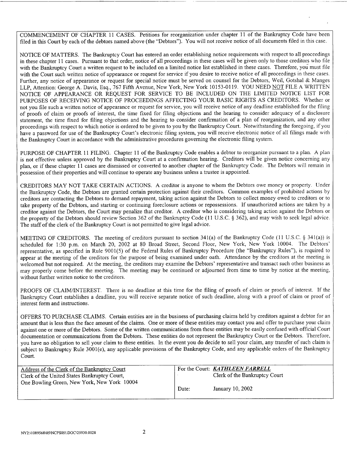COMMENCEMENT OF CHAPTER 11 CASES. Petitions for reorganization under chapter 11 of the Bankruptcy Code have been filed in this Court by each of the debtors named above (the "Debtors"). You will not receive notice of all documents filed in this case.

NOTICE OF MATTERS. The Bankruptcy Court has entered an order establishing notice requirements with respect to all proceedings in these chapter 11 cases. Pursuant to that order, notice of all proceedings in these cases will be given only to those creditors who file with the Bankruptcy Court a written request to be included on a limited notice list established in these cases. Therefore, you must file with the Court such written notice of appearance or request for service if you desire to receive notice of all proceedings in these cases. Further, any notice of appearance or request for special notice must be served on counsel for the Debtors, Weil, Gotshal & Manges LLP, Attention: George A. Davis, Esq., 767 Fifth Avenue, New York, New York 10153-0119. YOU NEED NOT FILE A WRITTEN NOTICE OF APPEARANCE OR REQUEST FOR SERVICE TO BE INCLUDED ON THE LIMITED NOTICE LIST FOR PURPOSES OF RECEIVING NOTICE OF PROCEEDINGS AFFECTING YOUR BASIC RIGHTS AS CREDITORS. Whether or not you file such a written notice of appearance or request for service, you will receive notice of any deadline established for the filing of proofs of claim or proofs of interest, the time fixed for filing objections and the hearing to consider adequacy of a disclosure statement, the time fixed for filing objections and the hearing to consider confirmation of a plan of reorganization, and any other proceedings with respect to which notice is ordered to be given to you by the Bankruptcy Court. Notwithstanding the foregoing, if you have a password for use of the Bankruptcy Court's electronic filing system, you will receive electronic notice of all filings made with the Bankruptcy Court in accordance with the administrative procedures governing the electronic filing system.

PURPOSE OF CHAPTER 11 FILING. Chapter 11 of the Bankruptcy Code enables a debtor to reorganize pursuant to a plan. A plan is not effective unless approved by the Bankruptcy Court at a confirmation hearing. Creditors will be given notice concerning any plan, or if these chapter 11 cases are dismissed or converted to another chapter of the Bankruptcy Code. The Debtors will remain in possession of their properties and will continue to operate any business unless a trustee is appointed.

CREDITORS MAY NOT TAKE CERTAIN ACTIONS. A creditor is anyone to whom the Debtors owe money or property. Under the Bankruptcy Code, the Debtors are granted certain protection against their creditors. Common examples of prohibited actions by creditors are contacting the Debtors to demand repayment, taking action against the Debtors to collect money owed to creditors or to take property of the Debtors, and starting or continuing foreclosure actions or repossessions. If unauthorized actions are taken by a creditor against the Debtors, the Court may penalize that creditor. A creditor who is considering taking action against the Debtors or the property of the Debtors should review Section 362 of the Bankruptcy Code (11 U.S.C. § 362), and may wish to seek legal advice. The staff of the clerk of the Bankruptcy Court is not permitted to give legal advice.

MEETING OF CREDITORS. The meeting of creditors pursuant to section 341(a) of the Bankruptcy Code (11 U.S.C. § 34 1(a)) is scheduled for 1:30 p.m. on March 20, 2002 at 80 Broad Street, Second Floor, New York, New York 10004. The Debtors' representative, as specified in Rule 9001(5) of the Federal Rules of Bankruptcy Procedure (the "Bankruptcy Rules"), is required to appear at the meeting of the creditors for the purpose of being examined under oath. Attendance by the creditors at the meeting is welcomed but not required. At the meeting, the creditors may examine the Debtors' representative and transact such other business as may properly come before the meeting. The meeting may be continued or adjourned from time to time by notice at the meeting, without further written notice to the creditors.

PROOFS OF CLAIM/INTEREST. There is no deadline at this time for the filing of proofs of claim or proofs of interest. If the Bankruptcy Court establishes a deadline, you will receive separate notice of such deadline, along with a proof of claim or proof of interest form and instructions.

OFFERS TO PURCHASE CLAIMS. Certain entities are in the business of purchasing claims held by creditors against a debtor for an amount that is less than the face amount of the claims. One or more of these entities may contact you and offer to purchase your claim against one or more of the Debtors. Some of the written communications from these entities may be easily confused with official Court documentation or communications from the Debtors. These entities do not represent the Bankruptcy Court or the Debtors. Therefore, you have no obligation to sell your claim to these entities. In the event you do decide to sell your claim, any transfer of such claim is subject to Bankruptcy Rule 3001(e), any applicable provisions of the Bankruptcy Code, and any applicable orders of the Bankruptcy Court.

| Address of the Clerk of the Bankruptcy Court<br>Clerk of the United States Bankruptcy Court, |       | For the Court: <i>KATHLEEN FARRELL</i><br>Clerk of the Bankruptcy Court |
|----------------------------------------------------------------------------------------------|-------|-------------------------------------------------------------------------|
| One Bowling Green, New York, New York 10004                                                  | Date: | January 10, 2002                                                        |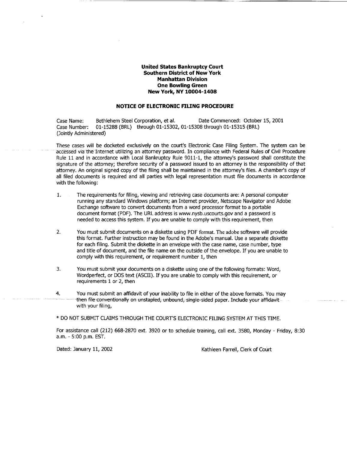#### United States Bankruptcy Court Southern District of New York Manhattan Division One Bowling Green New York, NY 10004-1408

#### **NOTICE** OF **ELECTRONIC FILING** PROCEDURE

Case Name: Bethlehem Steel Corporation, et al. Date Commenced: October 15, 2001<br>Case Number: 01-15288 (BRL) through 01-15302, 01-15308 through 01-15315 (BRL) 01-15288 (BRL) through 01-15302, 01-15308 through 01-15315 (BRL) (Jointly Administered)

These cases will be docketed exclusively on the court's Electronic Case Filing System. The system can be accessed via the Internet utilizing an attorney password. In compliance with Federal Rules of Civil Procedure Rule 11 and in accordance with Local Bankruptcy Rule 9011-1, the attorney's password shall constitute the signature of the attorney; therefore security of a password issued to an attorney is the responsibility of that attorney. An original signed copy of the filing shall be maintained in the attorney's files. A chamber's copy of all filed documents is required and all parties with legal representation must file documents in accordance with the following:

- 1. The requirements for filing, viewing and retrieving case documents are: A personal computer running any standard Windows platform; an Internet provider, Netscape Navigator and Adobe Exchange software to convert documents from a word processor format to a portable document format (PDF). The URL address is www.nysb.uscourts.gov and a password is needed to access this system. If you are unable to comply with this requirement, then
- 2. You must submit documents on a diskette using PDF format. The adobe software will provide this format. Further instruction may be found in the Adobe's manual. Use a separate diskette for each filing. Submit the diskette in an envelope with the case name, case number, type and title of document, and the file name on the outside of the envelope. If you are unable to comply with this requirement, or requirement number 1, then
- 3. You must submit your documents on a diskette using one of the following formats: Word, Wordperfect, or DOS text (ASCII). If you are unable to comply with this requirement, or requirements 1 or 2, then
- 4. You must submit an affidavit of your inability to file in either of the above formats. You may then file-conventionally on unstapled, unbound, single-sided paper. Include your affidavit with your filing,

\* DO NOT SUBMIT CLAIMS THROUGH THE COURT'S ELECTRONIC FILING SYSTEM AT THIS TIME.

For assistance call (212) 668-2870 ext. 3920 or to schedule training, call ext. 3580, Monday - Friday, 8:30 a.m. - 5:00 p.m. EST.

Dated: January **11,** 2002 Kathleen Farrell, Clerk of Court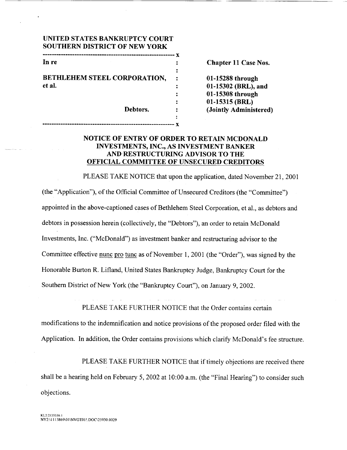| UNITED STATES BANKRUPTCY COURT       |
|--------------------------------------|
| <b>SOUTHERN DISTRICT OF NEW YORK</b> |

| In re                        |  |
|------------------------------|--|
|                              |  |
| BETHLEHEM STEEL CORPORATION, |  |
| et al.                       |  |
|                              |  |
|                              |  |
| Debtors.                     |  |

**----------------------------------------- x** 

Chapter 11 Case Nos. 01-15288 through 01-15302 *(BRL)*, and : **01-15308** through : **01-15315** (BRL) (Jointly Administered)

# **NOTICE** OF ENTRY OF ORDER TO RETAIN **MCDONALD INVESTMENTS, INC., AS INVESTMENT** BANKER **AND RESTRUCTURING** ADVISOR TO THE **OFFICIAL** COMMITTEE OF **UNSECURED** CREDITORS

PLEASE TAKE NOTICE that upon the application, dated November 21, 2001 (the "Application"), of the Official Committee of Unsecured Creditors (the "Committee") appointed in the above-captioned cases of Bethlehem Steel Corporation, et al., as debtors and debtors in possession herein (collectively, the "Debtors"), an order to retain McDonald Investments, Inc. ("McDonald") as investment banker and restructuring advisor to the Committee effective nunc pro tunc as of November 1, 2001 (the "Order"), was signed by the Honorable Burton R. Lifland, United States Bankruptcy Judge, Bankruptcy Court for the Southern District of New York (the "Bankruptcy Court"), on January 9, 2002.

PLEASE TAKE FURTHER NOTICE that the Order contains certain

modifications to the indemnification and notice provisions of the proposed order filed with the Application. In addition, the Order contains provisions which clarify McDonald's fee structure.

PLEASE TAKE FURTHER NOTICE that if timely objections are received there shall be a hearing held on February 5, 2002 at 10:00 a.m. (the "Final Hearing") to consider such objections.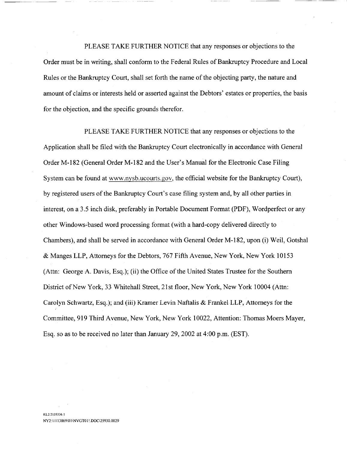PLEASE TAKE FURTHER NOTICE that any responses or objections to the Order must be in writing, shall conform to the Federal Rules of Bankruptcy Procedure and Local Rules or the Bankruptcy Court, shall set forth the name of the objecting party, the nature and amount of claims or interests held or asserted against the Debtors' estates or properties, the basis for the objection, and the specific grounds therefor.

PLEASE TAKE FURTHER NOTICE that any responses or objections to the Application shall be filed with the Bankruptcy Court electronically in accordance with General Order M- 182 (General Order M- 182 and the User's Manual for the Electronic Case Filing System can be found at www.nysb.ucourts.gov, the official website for the Bankruptcy Court), by registered users of the Bankruptcy Court's case filing system and, by all other parties in interest, on a 3.5 inch disk, preferably in Portable Document Format (PDF), Wordperfect or any other Windows-based word processing format (with a hard-copy delivered directly to Chambers), and shall be served in accordance with General Order M-182, upon (i) Weil, Gotshal & Manges LLP, Attorneys for the Debtors, 767 Fifth Avenue, New York, New York 10153 (Attn: George A. Davis, Esq.); (ii) the Office of the United States Trustee for the Southern District of New York, 33 Whitehall Street, 21 st floor, New York, New York 10004 (Attn: Carolyn Schwartz, Esq.); and (iii) Kramer Levin Naftalis & Frankel LLP, Attorneys for the Committee, 919 Third Avenue, New York, New York 10022, Attention: Thomas Moers Mayer, Esq. so as to be received no later than January 29, 2002 at 4:00 p.m. (EST).